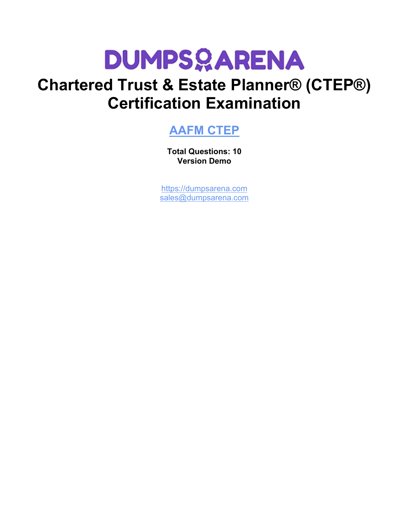

# **Chartered Trust & Estate Planner® (CTEP®) Certification Examination**

# **[AAFM CTEP](https://dumpsarena.com/exam/ctep/)**

**Total Questions: 10 Version Demo**

[https://dumpsarena.com](https://dumpsarena.com/) [sales@dumpsarena.com](mailto:sales@dumpsarena.com)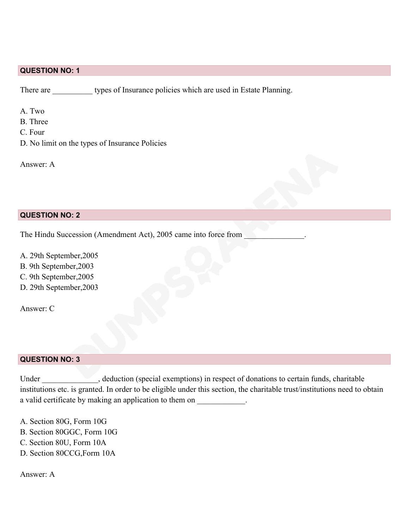#### **QUESTION NO: 1**

There are types of Insurance policies which are used in Estate Planning.

A. Two

- B. Three
- C. Four
- D. No limit on the types of Insurance Policies

Answer: A

#### **QUESTION NO: 2**

The Hindu Succession (Amendment Act), 2005 came into force from

A. 29th September,2005

- B. 9th September,2003
- C. 9th September,2005
- D. 29th September,2003

Answer: C

#### **QUESTION NO: 3**

Under \_\_\_\_\_\_\_\_\_\_\_\_, deduction (special exemptions) in respect of donations to certain funds, charitable institutions etc. is granted. In order to be eligible under this section, the charitable trust/institutions need to obtain a valid certificate by making an application to them on \_\_\_\_\_\_\_\_\_\_\_\_.

- A. Section 80G, Form 10G
- B. Section 80GGC, Form 10G
- C. Section 80U, Form 10A
- D. Section 80CCG,Form 10A

Answer: A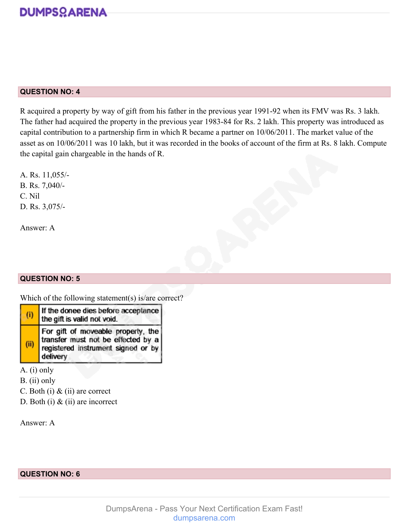

#### **QUESTION NO: 4**

R acquired a property by way of gift from his father in the previous year 1991-92 when its FMV was Rs. 3 lakh. The father had acquired the property in the previous year 1983-84 for Rs. 2 lakh. This property was introduced as capital contribution to a partnership firm in which R became a partner on 10/06/2011. The market value of the asset as on 10/06/2011 was 10 lakh, but it was recorded in the books of account of the firm at Rs. 8 lakh. Compute the capital gain chargeable in the hands of R.

A. Rs. 11,055/- B. Rs. 7,040/- C. Nil D. Rs. 3,075/-

Answer: A

#### **QUESTION NO: 5**

Which of the following statement(s) is/are correct?

| (i) | If the donee dies before acceptance<br>the gift is valid not void.                                                         |
|-----|----------------------------------------------------------------------------------------------------------------------------|
| (i) | For gift of moveable property, the<br>transfer must not be effected by a<br>registered instrument signed or by<br>delivery |

A. (i) only

B. (ii) only

C. Both (i) & (ii) are correct

D. Both (i) & (ii) are incorrect

Answer: A

**QUESTION NO: 6**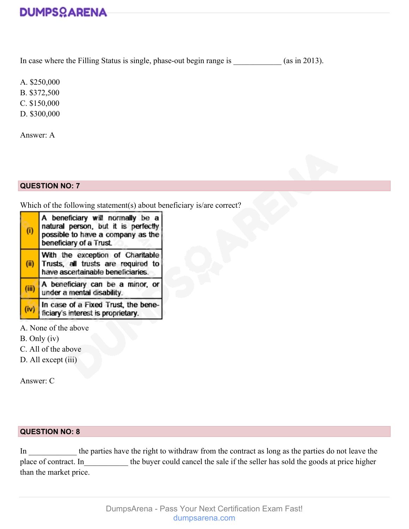# **DUMPSOARENA**

In case where the Filling Status is single, phase-out begin range is \_\_\_\_\_\_\_\_\_\_\_\_ (as in 2013).

A. \$250,000

B. \$372,500

C. \$150,000

D. \$300,000

Answer: A

## **QUESTION NO: 7**

Which of the following statement(s) about beneficiary is/are correct?

| (i)   | A beneficiary will normally be a<br>natural person, but it is perfectly<br>possible to have a company as the<br>beneficiary of a Trust. |
|-------|-----------------------------------------------------------------------------------------------------------------------------------------|
| (ii)  | With the exception of Charitable<br>Trusts, all trusts are required to<br>have ascertainable beneficiaries.                             |
| (iii) | A beneficiary can be a minor, or<br>under a mental disability.                                                                          |
| (iv)  | In case of a Fixed Trust, the bene-<br>ficiary's interest is proprietary.                                                               |

- A. None of the above
- B. Only (iv)
- C. All of the above
- D. All except (iii)

Answer: C

# **QUESTION NO: 8**

In \_\_\_\_\_\_\_\_\_\_ the parties have the right to withdraw from the contract as long as the parties do not leave the place of contract. In the buyer could cancel the sale if the seller has sold the goods at price higher than the market price.